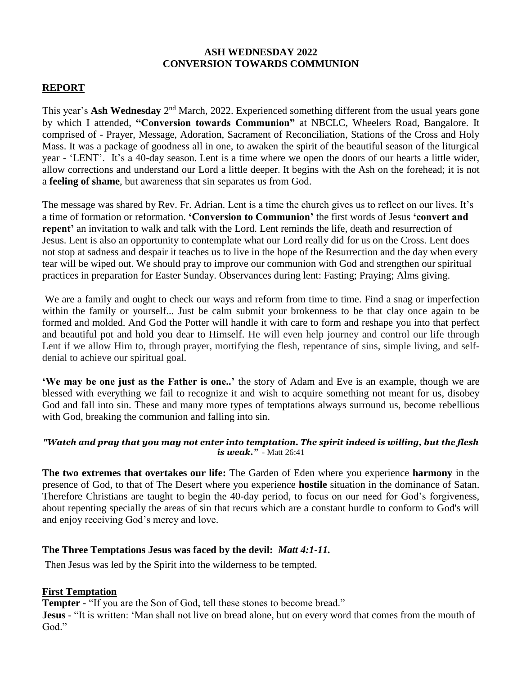### **ASH WEDNESDAY 2022 CONVERSION TOWARDS COMMUNION**

## **REPORT**

This year's **Ash Wednesday** 2<sup>nd</sup> March, 2022. Experienced something different from the usual years gone by which I attended, **"Conversion towards Communion"** at NBCLC, Wheelers Road, Bangalore. It comprised of - Prayer, Message, Adoration, Sacrament of Reconciliation, Stations of the Cross and Holy Mass. It was a package of goodness all in one, to awaken the spirit of the beautiful season of the liturgical year - 'LENT'. It's a 40-day season. Lent is a time where we open the doors of our hearts a little wider, allow corrections and understand our Lord a little deeper. It begins with the Ash on the forehead; it is not a **[feeling of shame](https://www.thegospelcoalition.org/article/feeling-shame-is-not-repentance/)**, but awareness that sin separates us from God.

The message was shared by Rev. Fr. Adrian. Lent is a time the church gives us to reflect on our lives. It's a time of formation or reformation. **'Conversion to Communion'** the first words of Jesus **'convert and repent'** an invitation to walk and talk with the Lord. Lent reminds the life, death and resurrection of Jesus. Lent is also an opportunity to contemplate what our Lord really did for us on the Cross. Lent does not stop at sadness and despair it teaches us to live in the hope of the Resurrection and the day when every tear will be wiped out. We should pray to improve our communion with God and strengthen our spiritual practices in preparation for Easter Sunday. Observances during lent: [Fasting;](http://en.wikipedia.org/wiki/Fasting) [Praying;](http://en.wikipedia.org/wiki/Praying) [Alms giving.](http://en.wikipedia.org/wiki/Alms_giving)

We are a family and ought to check our ways and reform from time to time. Find a snag or imperfection within the family or yourself... Just be calm submit your brokenness to be that clay once again to be formed and molded. And God the Potter will handle it with care to form and reshape you into that perfect and beautiful pot and hold you dear to Himself. He will even help journey and control our life through Lent if we allow Him to, through prayer, mortifying the flesh, repentance of sins, simple living, and selfdenial to achieve our spiritual goal.

**'We may be one just as the Father is one..'** the story of Adam and Eve is an example, though we are blessed with everything we fail to recognize it and wish to acquire something not meant for us, disobey God and fall into sin. These and many more types of temptations always surround us, become rebellious with God, breaking the communion and falling into sin.

#### *"Watch and pray that you may not enter into temptation. The spirit indeed is willing, but the flesh is weak." -* Matt 26:41

**The two extremes that overtakes our life:** The Garden of Eden where you experience **harmony** in the presence of God, to that of The Desert where you experience **hostile** situation in the dominance of Satan. Therefore Christians are taught to begin the 40-day period, to focus on our need for God's forgiveness, about repenting specially the areas of sin that recurs which are a constant hurdle to conform to God's will and enjoy receiving God's mercy and love.

### **The Three Temptations Jesus was faced by the devil:** *Matt 4:1-11.*

Then Jesus was led by the Spirit into the wilderness to be tempted.

### **First Temptation**

**Tempter** - "If you are the Son of God, tell these stones to become bread."

**Jesus** - "It is written: 'Man shall not live on bread alone, but on every word that comes from the mouth of God."